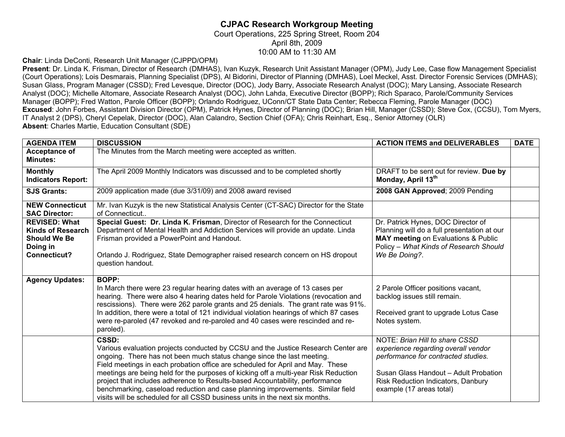## **CJPAC Research Workgroup Meeting**  Court Operations, 225 Spring Street, Room 204 April 8th, 2009

10:00 AM to 11:30 AM

**Chair**: Linda DeConti, Research Unit Manager (CJPPD/OPM)

**Present**: Dr. Linda K. Frisman, Director of Research (DMHAS), Ivan Kuzyk, Research Unit Assistant Manager (OPM), Judy Lee, Case flow Management Specialist (Court Operations); Lois Desmarais, Planning Specialist (DPS), Al Bidorini, Director of Planning (DMHAS), Loel Meckel, Asst. Director Forensic Services (DMHAS); Susan Glass, Program Manager (CSSD); Fred Levesque, Director (DOC), Jody Barry, Associate Research Analyst (DOC); Mary Lansing, Associate Research Analyst (DOC); Michelle Altomare, Associate Research Analyst (DOC), John Lahda, Executive Director (BOPP); Rich Sparaco, Parole/Community Services Manager (BOPP); Fred Watton, Parole Officer (BOPP); Orlando Rodriguez, UConn/CT State Data Center; Rebecca Fleming, Parole Manager (DOC) **Excused**: John Forbes, Assistant Division Director (OPM), Patrick Hynes, Director of Planning (DOC); Brian Hill, Manager (CSSD); Steve Cox, (CCSU), Tom Myers, IT Analyst 2 (DPS), Cheryl Cepelak, Director (DOC), Alan Calandro, Section Chief (OFA); Chris Reinhart, Esq., Senior Attorney (OLR) **Absent**: Charles Martie, Education Consultant (SDE)

| <b>AGENDA ITEM</b>                                                                                         | <b>DISCUSSION</b>                                                                                                                                                                                                                                                                                                                                                                                                                                                                                                                                                                               | <b>ACTION ITEMS and DELIVERABLES</b>                                                                                                                                                                                    | <b>DATE</b> |
|------------------------------------------------------------------------------------------------------------|-------------------------------------------------------------------------------------------------------------------------------------------------------------------------------------------------------------------------------------------------------------------------------------------------------------------------------------------------------------------------------------------------------------------------------------------------------------------------------------------------------------------------------------------------------------------------------------------------|-------------------------------------------------------------------------------------------------------------------------------------------------------------------------------------------------------------------------|-------------|
| Acceptance of<br><b>Minutes:</b>                                                                           | The Minutes from the March meeting were accepted as written.                                                                                                                                                                                                                                                                                                                                                                                                                                                                                                                                    |                                                                                                                                                                                                                         |             |
| <b>Monthly</b><br><b>Indicators Report:</b>                                                                | The April 2009 Monthly Indicators was discussed and to be completed shortly                                                                                                                                                                                                                                                                                                                                                                                                                                                                                                                     | DRAFT to be sent out for review. Due by<br>Monday, April 13th                                                                                                                                                           |             |
| <b>SJS Grants:</b>                                                                                         | 2009 application made (due 3/31/09) and 2008 award revised                                                                                                                                                                                                                                                                                                                                                                                                                                                                                                                                      | 2008 GAN Approved; 2009 Pending                                                                                                                                                                                         |             |
| <b>NEW Connecticut</b><br><b>SAC Director:</b>                                                             | Mr. Ivan Kuzyk is the new Statistical Analysis Center (CT-SAC) Director for the State<br>of Connecticut                                                                                                                                                                                                                                                                                                                                                                                                                                                                                         |                                                                                                                                                                                                                         |             |
| <b>REVISED: What</b><br><b>Kinds of Research</b><br><b>Should We Be</b><br>Doing in<br><b>Connecticut?</b> | Special Guest: Dr. Linda K. Frisman, Director of Research for the Connecticut<br>Department of Mental Health and Addiction Services will provide an update. Linda<br>Frisman provided a PowerPoint and Handout.<br>Orlando J. Rodriguez, State Demographer raised research concern on HS dropout<br>question handout.                                                                                                                                                                                                                                                                           | Dr. Patrick Hynes, DOC Director of<br>Planning will do a full presentation at our<br>MAY meeting on Evaluations & Public<br>Policy - What Kinds of Research Should<br>We Be Doing?.                                     |             |
| <b>Agency Updates:</b>                                                                                     | <b>BOPP:</b><br>In March there were 23 regular hearing dates with an average of 13 cases per<br>hearing. There were also 4 hearing dates held for Parole Violations (revocation and<br>rescissions). There were 262 parole grants and 25 denials. The grant rate was 91%.<br>In addition, there were a total of 121 individual violation hearings of which 87 cases<br>were re-paroled (47 revoked and re-paroled and 40 cases were rescinded and re-<br>paroled).                                                                                                                              | 2 Parole Officer positions vacant,<br>backlog issues still remain.<br>Received grant to upgrade Lotus Case<br>Notes system.                                                                                             |             |
|                                                                                                            | CSSD:<br>Various evaluation projects conducted by CCSU and the Justice Research Center are<br>ongoing. There has not been much status change since the last meeting.<br>Field meetings in each probation office are scheduled for April and May. These<br>meetings are being held for the purposes of kicking off a multi-year Risk Reduction<br>project that includes adherence to Results-based Accountability, performance<br>benchmarking, caseload reduction and case planning improvements. Similar field<br>visits will be scheduled for all CSSD business units in the next six months. | NOTE: Brian Hill to share CSSD<br>experience regarding overall vendor<br>performance for contracted studies.<br>Susan Glass Handout - Adult Probation<br>Risk Reduction Indicators, Danbury<br>example (17 areas total) |             |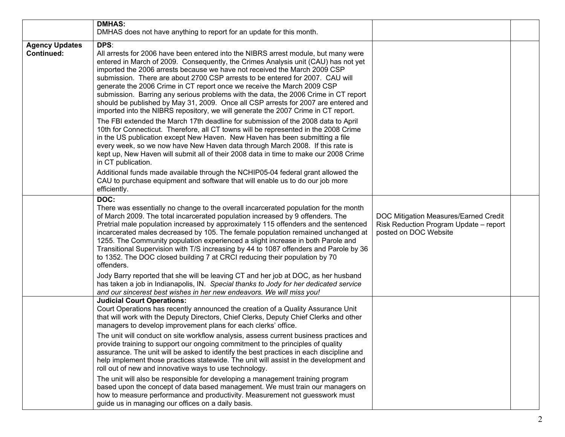|                                            | <b>DMHAS:</b>                                                                                                                                                                                                                                                                                                                                                                                                                                                                                                                                                                                                                                                                                                                                                                                                                                                                                                                                                                                                                                                                                                                                                                                                                                                                                                               |                                                                                                          |  |
|--------------------------------------------|-----------------------------------------------------------------------------------------------------------------------------------------------------------------------------------------------------------------------------------------------------------------------------------------------------------------------------------------------------------------------------------------------------------------------------------------------------------------------------------------------------------------------------------------------------------------------------------------------------------------------------------------------------------------------------------------------------------------------------------------------------------------------------------------------------------------------------------------------------------------------------------------------------------------------------------------------------------------------------------------------------------------------------------------------------------------------------------------------------------------------------------------------------------------------------------------------------------------------------------------------------------------------------------------------------------------------------|----------------------------------------------------------------------------------------------------------|--|
|                                            | DMHAS does not have anything to report for an update for this month.                                                                                                                                                                                                                                                                                                                                                                                                                                                                                                                                                                                                                                                                                                                                                                                                                                                                                                                                                                                                                                                                                                                                                                                                                                                        |                                                                                                          |  |
| <b>Agency Updates</b><br><b>Continued:</b> | DPS:<br>All arrests for 2006 have been entered into the NIBRS arrest module, but many were<br>entered in March of 2009. Consequently, the Crimes Analysis unit (CAU) has not yet<br>imported the 2006 arrests because we have not received the March 2009 CSP<br>submission. There are about 2700 CSP arrests to be entered for 2007. CAU will<br>generate the 2006 Crime in CT report once we receive the March 2009 CSP<br>submission. Barring any serious problems with the data, the 2006 Crime in CT report<br>should be published by May 31, 2009. Once all CSP arrests for 2007 are entered and<br>imported into the NIBRS repository, we will generate the 2007 Crime in CT report.<br>The FBI extended the March 17th deadline for submission of the 2008 data to April<br>10th for Connecticut. Therefore, all CT towns will be represented in the 2008 Crime<br>in the US publication except New Haven. New Haven has been submitting a file<br>every week, so we now have New Haven data through March 2008. If this rate is<br>kept up, New Haven will submit all of their 2008 data in time to make our 2008 Crime<br>in CT publication.<br>Additional funds made available through the NCHIP05-04 federal grant allowed the<br>CAU to purchase equipment and software that will enable us to do our job more |                                                                                                          |  |
|                                            | efficiently.<br>DOC:                                                                                                                                                                                                                                                                                                                                                                                                                                                                                                                                                                                                                                                                                                                                                                                                                                                                                                                                                                                                                                                                                                                                                                                                                                                                                                        |                                                                                                          |  |
|                                            | There was essentially no change to the overall incarcerated population for the month<br>of March 2009. The total incarcerated population increased by 9 offenders. The<br>Pretrial male population increased by approximately 115 offenders and the sentenced<br>incarcerated males decreased by 105. The female population remained unchanged at<br>1255. The Community population experienced a slight increase in both Parole and<br>Transitional Supervision with T/S increasing by 44 to 1087 offenders and Parole by 36<br>to 1352. The DOC closed building 7 at CRCI reducing their population by 70<br>offenders.                                                                                                                                                                                                                                                                                                                                                                                                                                                                                                                                                                                                                                                                                                   | DOC Mitigation Measures/Earned Credit<br>Risk Reduction Program Update - report<br>posted on DOC Website |  |
|                                            | Jody Barry reported that she will be leaving CT and her job at DOC, as her husband<br>has taken a job in Indianapolis, IN. Special thanks to Jody for her dedicated service<br>and our sincerest best wishes in her new endeavors. We will miss you!                                                                                                                                                                                                                                                                                                                                                                                                                                                                                                                                                                                                                                                                                                                                                                                                                                                                                                                                                                                                                                                                        |                                                                                                          |  |
|                                            | <b>Judicial Court Operations:</b><br>Court Operations has recently announced the creation of a Quality Assurance Unit<br>that will work with the Deputy Directors, Chief Clerks, Deputy Chief Clerks and other<br>managers to develop improvement plans for each clerks' office.                                                                                                                                                                                                                                                                                                                                                                                                                                                                                                                                                                                                                                                                                                                                                                                                                                                                                                                                                                                                                                            |                                                                                                          |  |
|                                            | The unit will conduct on site workflow analysis, assess current business practices and<br>provide training to support our ongoing commitment to the principles of quality<br>assurance. The unit will be asked to identify the best practices in each discipline and<br>help implement those practices statewide. The unit will assist in the development and<br>roll out of new and innovative ways to use technology.                                                                                                                                                                                                                                                                                                                                                                                                                                                                                                                                                                                                                                                                                                                                                                                                                                                                                                     |                                                                                                          |  |
|                                            | The unit will also be responsible for developing a management training program<br>based upon the concept of data based management. We must train our managers on<br>how to measure performance and productivity. Measurement not guesswork must<br>guide us in managing our offices on a daily basis.                                                                                                                                                                                                                                                                                                                                                                                                                                                                                                                                                                                                                                                                                                                                                                                                                                                                                                                                                                                                                       |                                                                                                          |  |